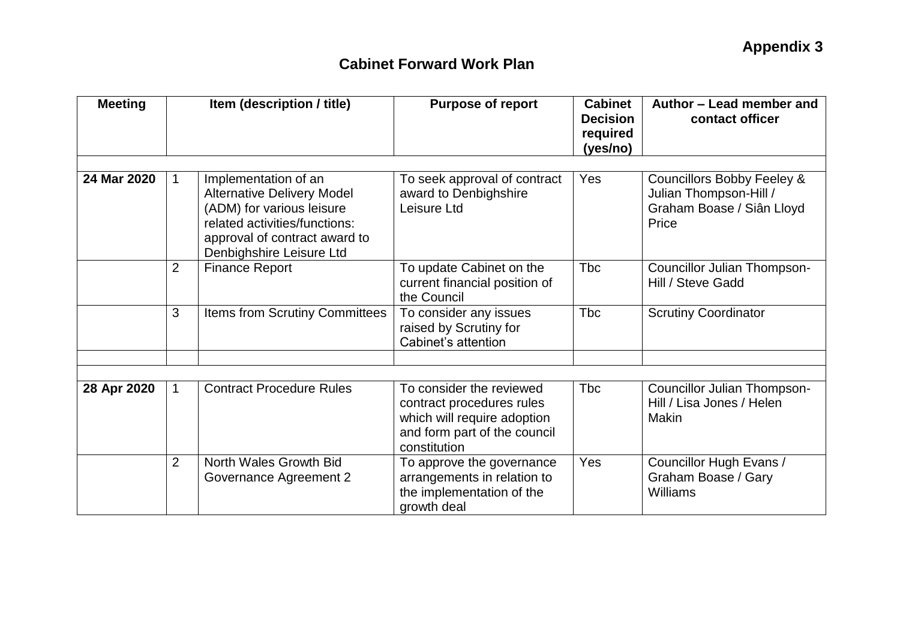| <b>Meeting</b> | Item (description / title) |                                                                                                                                                                                      | <b>Purpose of report</b>                                                                                                             | <b>Cabinet</b><br><b>Decision</b><br>required<br>(yes/no) | Author - Lead member and<br>contact officer                                                           |  |
|----------------|----------------------------|--------------------------------------------------------------------------------------------------------------------------------------------------------------------------------------|--------------------------------------------------------------------------------------------------------------------------------------|-----------------------------------------------------------|-------------------------------------------------------------------------------------------------------|--|
|                |                            |                                                                                                                                                                                      |                                                                                                                                      |                                                           |                                                                                                       |  |
| 24 Mar 2020    | $\mathbf 1$                | Implementation of an<br><b>Alternative Delivery Model</b><br>(ADM) for various leisure<br>related activities/functions:<br>approval of contract award to<br>Denbighshire Leisure Ltd | To seek approval of contract<br>award to Denbighshire<br>Leisure Ltd                                                                 | Yes                                                       | <b>Councillors Bobby Feeley &amp;</b><br>Julian Thompson-Hill /<br>Graham Boase / Siân Lloyd<br>Price |  |
|                | $\overline{2}$             | <b>Finance Report</b>                                                                                                                                                                | To update Cabinet on the<br>current financial position of<br>the Council                                                             | <b>Tbc</b>                                                | <b>Councillor Julian Thompson-</b><br>Hill / Steve Gadd                                               |  |
|                | 3                          | Items from Scrutiny Committees                                                                                                                                                       | To consider any issues<br>raised by Scrutiny for<br>Cabinet's attention                                                              | <b>T</b> bc                                               | <b>Scrutiny Coordinator</b>                                                                           |  |
|                |                            |                                                                                                                                                                                      |                                                                                                                                      |                                                           |                                                                                                       |  |
|                |                            |                                                                                                                                                                                      |                                                                                                                                      |                                                           |                                                                                                       |  |
| 28 Apr 2020    | $\mathbf 1$                | <b>Contract Procedure Rules</b>                                                                                                                                                      | To consider the reviewed<br>contract procedures rules<br>which will require adoption<br>and form part of the council<br>constitution | <b>T</b> bc                                               | Councillor Julian Thompson-<br>Hill / Lisa Jones / Helen<br>Makin                                     |  |
|                | $\overline{2}$             | North Wales Growth Bid<br>Governance Agreement 2                                                                                                                                     | To approve the governance<br>arrangements in relation to<br>the implementation of the<br>growth deal                                 | Yes                                                       | Councillor Hugh Evans /<br>Graham Boase / Gary<br>Williams                                            |  |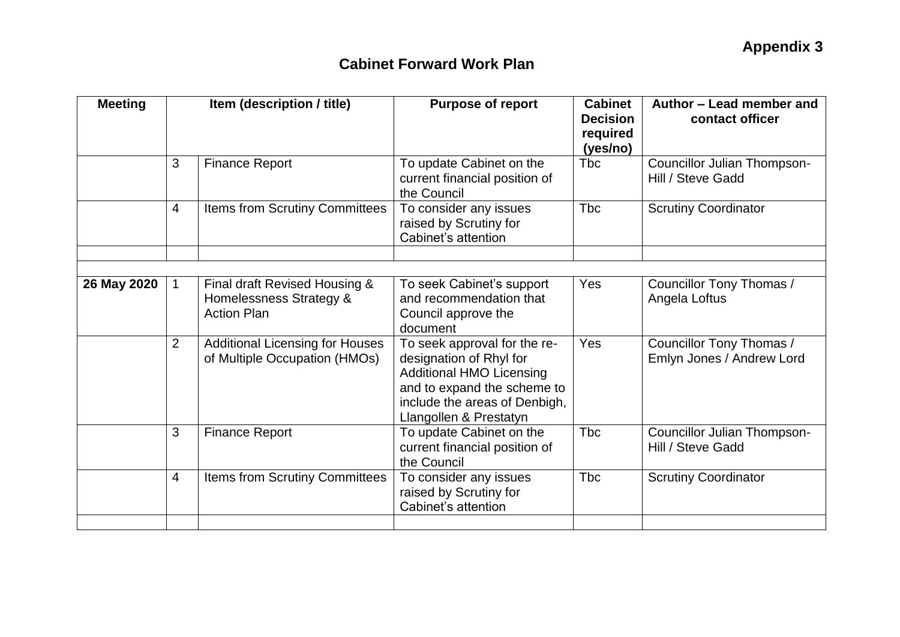| <b>Meeting</b> | Item (description / title) |                                                                                | <b>Purpose of report</b>                                                                                                                                                             | <b>Cabinet</b><br><b>Decision</b><br>required<br>(yes/no) | Author – Lead member and<br>contact officer             |  |
|----------------|----------------------------|--------------------------------------------------------------------------------|--------------------------------------------------------------------------------------------------------------------------------------------------------------------------------------|-----------------------------------------------------------|---------------------------------------------------------|--|
|                | 3                          | <b>Finance Report</b>                                                          | To update Cabinet on the<br>current financial position of<br>the Council                                                                                                             | Tbc                                                       | <b>Councillor Julian Thompson-</b><br>Hill / Steve Gadd |  |
|                | $\overline{4}$             | <b>Items from Scrutiny Committees</b>                                          | To consider any issues<br>raised by Scrutiny for<br>Cabinet's attention                                                                                                              | <b>Tbc</b>                                                | <b>Scrutiny Coordinator</b>                             |  |
|                |                            |                                                                                |                                                                                                                                                                                      |                                                           |                                                         |  |
|                |                            |                                                                                |                                                                                                                                                                                      |                                                           |                                                         |  |
| 26 May 2020    | $\mathbf{1}$               | Final draft Revised Housing &<br>Homelessness Strategy &<br><b>Action Plan</b> | To seek Cabinet's support<br>and recommendation that<br>Council approve the<br>document                                                                                              | <b>Yes</b>                                                | Councillor Tony Thomas /<br>Angela Loftus               |  |
|                | $\overline{2}$             | <b>Additional Licensing for Houses</b><br>of Multiple Occupation (HMOs)        | To seek approval for the re-<br>designation of Rhyl for<br><b>Additional HMO Licensing</b><br>and to expand the scheme to<br>include the areas of Denbigh,<br>Llangollen & Prestatyn | Yes                                                       | Councillor Tony Thomas /<br>Emlyn Jones / Andrew Lord   |  |
|                | 3                          | <b>Finance Report</b>                                                          | To update Cabinet on the<br>current financial position of<br>the Council                                                                                                             | <b>Tbc</b>                                                | <b>Councillor Julian Thompson-</b><br>Hill / Steve Gadd |  |
|                | $\overline{4}$             | Items from Scrutiny Committees                                                 | To consider any issues<br>raised by Scrutiny for<br>Cabinet's attention                                                                                                              | <b>Tbc</b>                                                | <b>Scrutiny Coordinator</b>                             |  |
|                |                            |                                                                                |                                                                                                                                                                                      |                                                           |                                                         |  |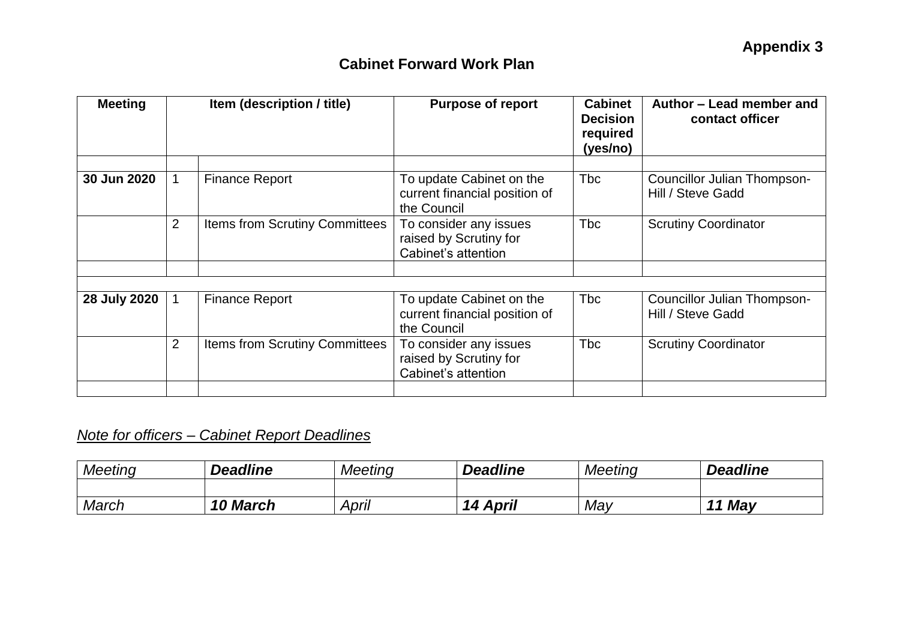| <b>Meeting</b> | Item (description / title) |                                       | <b>Purpose of report</b>                                                 | <b>Cabinet</b><br><b>Decision</b><br>required<br>(yes/no) | Author – Lead member and<br>contact officer      |
|----------------|----------------------------|---------------------------------------|--------------------------------------------------------------------------|-----------------------------------------------------------|--------------------------------------------------|
| 30 Jun 2020    | $\mathbf{1}$               | <b>Finance Report</b>                 | To update Cabinet on the<br>current financial position of<br>the Council | <b>Tbc</b>                                                | Councillor Julian Thompson-<br>Hill / Steve Gadd |
|                | 2                          | <b>Items from Scrutiny Committees</b> | To consider any issues<br>raised by Scrutiny for<br>Cabinet's attention  | <b>Tbc</b>                                                | <b>Scrutiny Coordinator</b>                      |
|                |                            |                                       |                                                                          |                                                           |                                                  |
| 28 July 2020   | $\mathbf{1}$               | <b>Finance Report</b>                 | To update Cabinet on the<br>current financial position of<br>the Council | <b>Tbc</b>                                                | Councillor Julian Thompson-<br>Hill / Steve Gadd |
|                | 2                          | <b>Items from Scrutiny Committees</b> | To consider any issues<br>raised by Scrutiny for<br>Cabinet's attention  | <b>Tbc</b>                                                | <b>Scrutiny Coordinator</b>                      |
|                |                            |                                       |                                                                          |                                                           |                                                  |

# *Note for officers – Cabinet Report Deadlines*

| <b>Meeting</b> | <b>Deadline</b>    | <b>Meeting</b> | <b>Deadline</b>    | Meeting | <b>Deadline</b> |
|----------------|--------------------|----------------|--------------------|---------|-----------------|
|                |                    |                |                    |         |                 |
| March          | <b>March</b><br>10 | April          | <b>April</b><br>14 | May     | 11 May          |